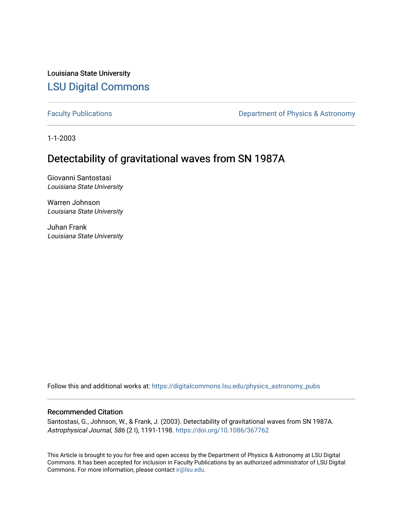Louisiana State University [LSU Digital Commons](https://digitalcommons.lsu.edu/)

[Faculty Publications](https://digitalcommons.lsu.edu/physics_astronomy_pubs) **Exercise 2** Constant Department of Physics & Astronomy

1-1-2003

# Detectability of gravitational waves from SN 1987A

Giovanni Santostasi Louisiana State University

Warren Johnson Louisiana State University

Juhan Frank Louisiana State University

Follow this and additional works at: [https://digitalcommons.lsu.edu/physics\\_astronomy\\_pubs](https://digitalcommons.lsu.edu/physics_astronomy_pubs?utm_source=digitalcommons.lsu.edu%2Fphysics_astronomy_pubs%2F1581&utm_medium=PDF&utm_campaign=PDFCoverPages) 

# Recommended Citation

Santostasi, G., Johnson, W., & Frank, J. (2003). Detectability of gravitational waves from SN 1987A. Astrophysical Journal, 586 (2 I), 1191-1198.<https://doi.org/10.1086/367762>

This Article is brought to you for free and open access by the Department of Physics & Astronomy at LSU Digital Commons. It has been accepted for inclusion in Faculty Publications by an authorized administrator of LSU Digital Commons. For more information, please contact [ir@lsu.edu](mailto:ir@lsu.edu).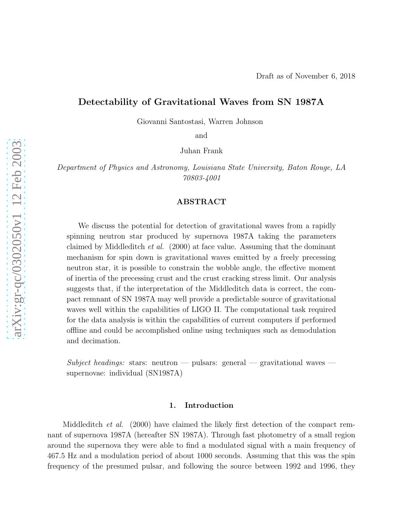# Detectability of Gravitational Waves from SN 1987A

Giovanni Santostasi, Warren Johnson

and

Juhan Frank

Department of Physics and Astronomy, Louisiana State University, Baton Rouge, LA 70803-4001

# ABSTRACT

We discuss the potential for detection of gravitational waves from a rapidly spinning neutron star produced by supernova 1987A taking the parameters claimed by Middleditch et al. (2000) at face value. Assuming that the dominant mechanism for spin down is gravitational waves emitted by a freely precessing neutron star, it is possible to constrain the wobble angle, the effective moment of inertia of the precessing crust and the crust cracking stress limit. Our analysis suggests that, if the interpretation of the Middleditch data is correct, the compact remnant of SN 1987A may well provide a predictable source of gravitational waves well within the capabilities of LIGO II. The computational task required for the data analysis is within the capabilities of current computers if performed offline and could be accomplished online using techniques such as demodulation and decimation.

Subject headings: stars: neutron — pulsars: general — gravitational waves supernovae: individual (SN1987A)

### 1. Introduction

Middleditch *et al.* (2000) have claimed the likely first detection of the compact remnant of supernova 1987A (hereafter SN 1987A). Through fast photometry of a small region around the supernova they were able to find a modulated signal with a main frequency of 467.5 Hz and a modulation period of about 1000 seconds. Assuming that this was the spin frequency of the presumed pulsar, and following the source between 1992 and 1996, they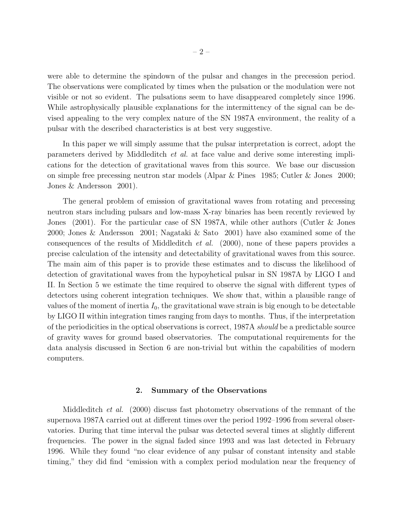were able to determine the spindown of the pulsar and changes in the precession period. The observations were complicated by times when the pulsation or the modulation were not visible or not so evident. The pulsations seem to have disappeared completely since 1996. While astrophysically plausible explanations for the intermittency of the signal can be devised appealing to the very complex nature of the SN 1987A environment, the reality of a pulsar with the described characteristics is at best very suggestive.

In this paper we will simply assume that the pulsar interpretation is correct, adopt the parameters derived by Middleditch et al. at face value and derive some interesting implications for the detection of gravitational waves from this source. We base our discussion on simple free precessing neutron star models (Alpar & Pines 1985; Cutler & Jones 2000; Jones & Andersson 2001).

The general problem of emission of gravitational waves from rotating and precessing neutron stars including pulsars and low-mass X-ray binaries has been recently reviewed by Jones (2001). For the particular case of SN 1987A, while other authors (Cutler & Jones 2000; Jones & Andersson 2001; Nagataki & Sato 2001) have also examined some of the consequences of the results of Middleditch et al. (2000), none of these papers provides a precise calculation of the intensity and detectability of gravitational waves from this source. The main aim of this paper is to provide these estimates and to discuss the likelihood of detection of gravitational waves from the hypoyhetical pulsar in SN 1987A by LIGO I and II. In Section 5 we estimate the time required to observe the signal with different types of detectors using coherent integration techniques. We show that, within a plausible range of values of the moment of inertia  $I_0$ , the gravitational wave strain is big enough to be detectable by LIGO II within integration times ranging from days to months. Thus, if the interpretation of the periodicities in the optical observations is correct, 1987A *should* be a predictable source of gravity waves for ground based observatories. The computational requirements for the data analysis discussed in Section 6 are non-trivial but within the capabilities of modern computers.

### 2. Summary of the Observations

Middleditch *et al.* (2000) discuss fast photometry observations of the remnant of the supernova 1987A carried out at different times over the period 1992–1996 from several observatories. During that time interval the pulsar was detected several times at slightly different frequencies. The power in the signal faded since 1993 and was last detected in February 1996. While they found "no clear evidence of any pulsar of constant intensity and stable timing," they did find "emission with a complex period modulation near the frequency of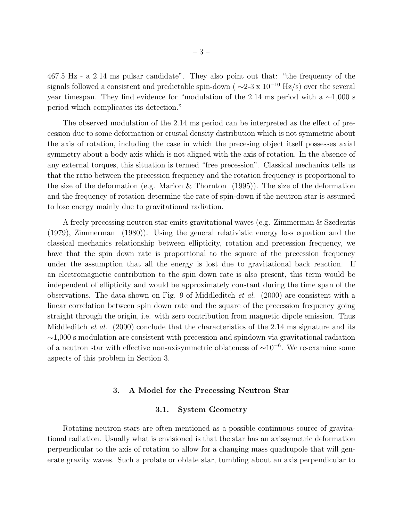467.5 Hz - a 2.14 ms pulsar candidate". They also point out that: "the frequency of the signals followed a consistent and predictable spin-down ( $\sim$ 2-3 x 10<sup>-10</sup> Hz/s) over the several year timespan. They find evidence for "modulation of the 2.14 ms period with a ∼1,000 s period which complicates its detection."

The observed modulation of the 2.14 ms period can be interpreted as the effect of precession due to some deformation or crustal density distribution which is not symmetric about the axis of rotation, including the case in which the precesing object itself possesses axial symmetry about a body axis which is not aligned with the axis of rotation. In the absence of any external torques, this situation is termed "free precession". Classical mechanics tells us that the ratio between the precession frequency and the rotation frequency is proportional to the size of the deformation (e.g. Marion  $\&$  Thornton (1995)). The size of the deformation and the frequency of rotation determine the rate of spin-down if the neutron star is assumed to lose energy mainly due to gravitational radiation.

A freely precessing neutron star emits gravitational waves (e.g. Zimmerman & Szedentis (1979), Zimmerman (1980)). Using the general relativistic energy loss equation and the classical mechanics relationship between ellipticity, rotation and precession frequency, we have that the spin down rate is proportional to the square of the precession frequency under the assumption that all the energy is lost due to gravitational back reaction. If an electromagnetic contribution to the spin down rate is also present, this term would be independent of ellipticity and would be approximately constant during the time span of the observations. The data shown on Fig. 9 of Middleditch et al. (2000) are consistent with a linear correlation between spin down rate and the square of the precession frequency going straight through the origin, i.e. with zero contribution from magnetic dipole emission. Thus Middleditch *et al.* (2000) conclude that the characteristics of the 2.14 ms signature and its ∼1,000 s modulation are consistent with precession and spindown via gravitational radiation of a neutron star with effective non-axisymmetric oblateness of  $\sim 10^{-6}$ . We re-examine some aspects of this problem in Section 3.

### 3. A Model for the Precessing Neutron Star

## 3.1. System Geometry

Rotating neutron stars are often mentioned as a possible continuous source of gravitational radiation. Usually what is envisioned is that the star has an axissymetric deformation perpendicular to the axis of rotation to allow for a changing mass quadrupole that will generate gravity waves. Such a prolate or oblate star, tumbling about an axis perpendicular to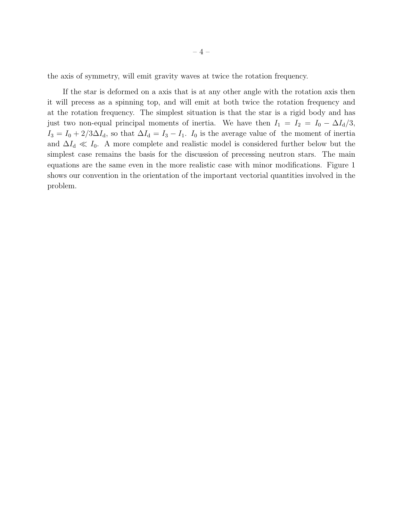the axis of symmetry, will emit gravity waves at twice the rotation frequency.

If the star is deformed on a axis that is at any other angle with the rotation axis then it will precess as a spinning top, and will emit at both twice the rotation frequency and at the rotation frequency. The simplest situation is that the star is a rigid body and has just two non-equal principal moments of inertia. We have then  $I_1 = I_2 = I_0 - \Delta I_d/3$ ,  $I_3 = I_0 + 2/3\Delta I_d$ , so that  $\Delta I_d = I_3 - I_1$ .  $I_0$  is the average value of the moment of inertia and  $\Delta I_d \ll I_0$ . A more complete and realistic model is considered further below but the simplest case remains the basis for the discussion of precessing neutron stars. The main equations are the same even in the more realistic case with minor modifications. Figure 1 shows our convention in the orientation of the important vectorial quantities involved in the problem.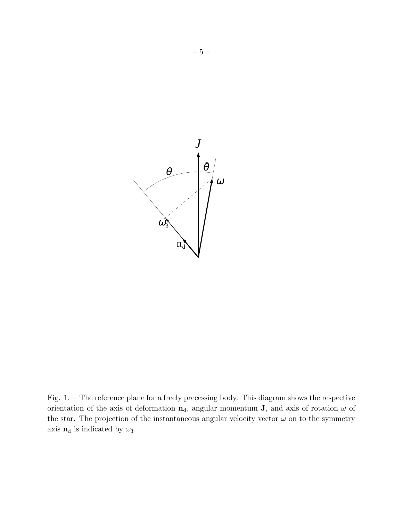

Fig. 1.— The reference plane for a freely precessing body. This diagram shows the respective orientation of the axis of deformation  $n_d$ , angular momentum **J**, and axis of rotation  $\omega$  of the star. The projection of the instantaneous angular velocity vector  $\omega$  on to the symmetry axis  $n_d$  is indicated by  $\omega_3$ .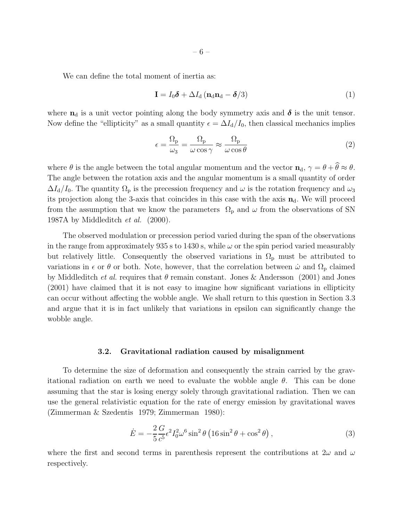We can define the total moment of inertia as:

$$
\mathbf{I} = I_0 \boldsymbol{\delta} + \Delta I_d \left( \mathbf{n}_d \mathbf{n}_d - \boldsymbol{\delta} / 3 \right) \tag{1}
$$

where  $n_d$  is a unit vector pointing along the body symmetry axis and  $\delta$  is the unit tensor. Now define the "ellipticity" as a small quantity  $\epsilon = \Delta I_d/I_0$ , then classical mechanics implies

$$
\epsilon = \frac{\Omega_{\rm p}}{\omega_3} = \frac{\Omega_{\rm p}}{\omega \cos \gamma} \approx \frac{\Omega_{\rm p}}{\omega \cos \theta} \tag{2}
$$

where  $\theta$  is the angle between the total angular momentum and the vector  $\mathbf{n}_d$ ,  $\gamma = \theta + \widehat{\theta} \approx \theta$ . The angle between the rotation axis and the angular momentum is a small quantity of order  $\Delta I_d/I_0$ . The quantity  $\Omega_{\rm p}$  is the precession frequency and  $\omega$  is the rotation frequency and  $\omega_3$ its projection along the 3-axis that coincides in this case with the axis  $n_d$ . We will proceed from the assumption that we know the parameters  $\Omega_{\rm p}$  and  $\omega$  from the observations of SN 1987A by Middleditch et al. (2000).

The observed modulation or precession period varied during the span of the observations in the range from approximately 935 s to 1430 s, while  $\omega$  or the spin period varied measurably but relatively little. Consequently the observed variations in  $\Omega_{\rm p}$  must be attributed to variations in  $\epsilon$  or  $\theta$  or both. Note, however, that the correlation between  $\dot{\omega}$  and  $\Omega_{\rm p}$  claimed by Middleditch *et al.* requires that  $\theta$  remain constant. Jones & Andersson (2001) and Jones (2001) have claimed that it is not easy to imagine how significant variations in ellipticity can occur without affecting the wobble angle. We shall return to this question in Section 3.3 and argue that it is in fact unlikely that variations in epsilon can significantly change the wobble angle.

### 3.2. Gravitational radiation caused by misalignment

To determine the size of deformation and consequently the strain carried by the gravitational radiation on earth we need to evaluate the wobble angle  $\theta$ . This can be done assuming that the star is losing energy solely through gravitational radiation. Then we can use the general relativistic equation for the rate of energy emission by gravitational waves (Zimmerman & Szedentis 1979; Zimmerman 1980):

$$
\dot{E} = -\frac{2}{5} \frac{G}{c^5} \epsilon^2 I_0^2 \omega^6 \sin^2 \theta \left(16 \sin^2 \theta + \cos^2 \theta\right),\tag{3}
$$

where the first and second terms in parenthesis represent the contributions at  $2\omega$  and  $\omega$ respectively.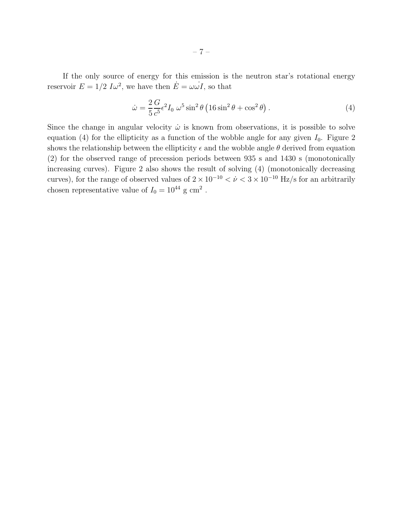If the only source of energy for this emission is the neutron star's rotational energy reservoir  $E = 1/2 I \omega^2$ , we have then  $\dot{E} = \omega \omega I$ , so that

$$
\dot{\omega} = \frac{2}{5} \frac{G}{c^5} \epsilon^2 I_0 \ \omega^5 \sin^2 \theta \left( 16 \sin^2 \theta + \cos^2 \theta \right). \tag{4}
$$

Since the change in angular velocity  $\dot{\omega}$  is known from observations, it is possible to solve equation (4) for the ellipticity as a function of the wobble angle for any given  $I_0$ . Figure 2 shows the relationship between the ellipticity  $\epsilon$  and the wobble angle  $\theta$  derived from equation (2) for the observed range of precession periods between 935 s and 1430 s (monotonically increasing curves). Figure 2 also shows the result of solving (4) (monotonically decreasing curves), for the range of observed values of  $2 \times 10^{-10} < \dot{\nu} < 3 \times 10^{-10}$  Hz/s for an arbitrarily chosen representative value of  $I_0 = 10^{44}$  g cm<sup>2</sup>.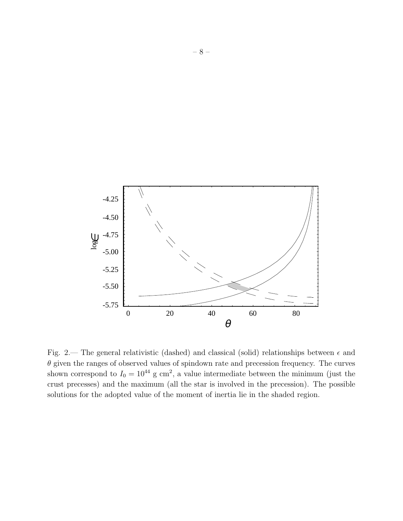

Fig. 2.— The general relativistic (dashed) and classical (solid) relationships between  $\epsilon$  and  $\theta$  given the ranges of observed values of spindown rate and precession frequency. The curves shown correspond to  $I_0 = 10^{44}$  g cm<sup>2</sup>, a value intermediate between the minimum (just the crust precesses) and the maximum (all the star is involved in the precession). The possible solutions for the adopted value of the moment of inertia lie in the shaded region.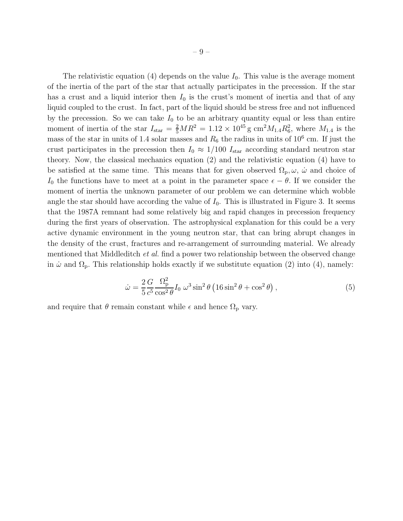The relativistic equation (4) depends on the value  $I_0$ . This value is the average moment of the inertia of the part of the star that actually participates in the precession. If the star has a crust and a liquid interior then  $I_0$  is the crust's moment of inertia and that of any liquid coupled to the crust. In fact, part of the liquid should be stress free and not influenced by the precession. So we can take  $I_0$  to be an arbitrary quantity equal or less than entire moment of inertia of the star  $I_{\text{star}} = \frac{2}{5}MR^2 = 1.12 \times 10^{45} \text{ g cm}^2 M_{1.4} R_6^2$ , where  $M_{1.4}$  is the mass of the star in units of 1.4 solar masses and  $R_6$  the radius in units of 10<sup>6</sup> cm. If just the crust participates in the precession then  $I_0 \approx 1/100 I_{\text{star}}$  according standard neutron star theory. Now, the classical mechanics equation (2) and the relativistic equation (4) have to be satisfied at the same time. This means that for given observed  $\Omega_{\rm p}, \omega$ ,  $\dot{\omega}$  and choice of I<sub>0</sub> the functions have to meet at a point in the parameter space  $\epsilon - \theta$ . If we consider the moment of inertia the unknown parameter of our problem we can determine which wobble angle the star should have according the value of  $I_0$ . This is illustrated in Figure 3. It seems that the 1987A remnant had some relatively big and rapid changes in precession frequency during the first years of observation. The astrophysical explanation for this could be a very active dynamic environment in the young neutron star, that can bring abrupt changes in the density of the crust, fractures and re-arrangement of surrounding material. We already mentioned that Middleditch et al. find a power two relationship between the observed change in  $\dot{\omega}$  and  $\Omega_p$ . This relationship holds exactly if we substitute equation (2) into (4), namely:

$$
\dot{\omega} = \frac{2}{5} \frac{G}{c^5} \frac{\Omega_{\rm p}^2}{\cos^2 \theta} I_0 \, \omega^3 \sin^2 \theta \left( 16 \sin^2 \theta + \cos^2 \theta \right),\tag{5}
$$

and require that  $\theta$  remain constant while  $\epsilon$  and hence  $\Omega_{\rm p}$  vary.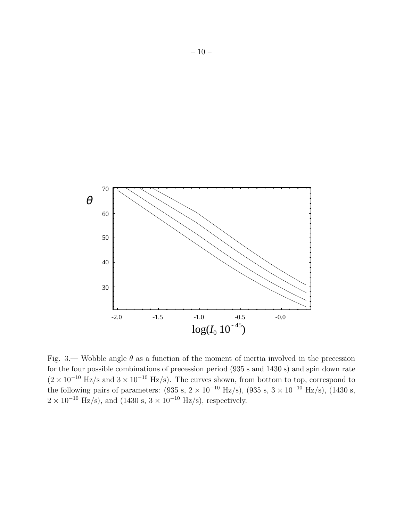

Fig. 3.— Wobble angle  $\theta$  as a function of the moment of inertia involved in the precession for the four possible combinations of precession period (935 s and 1430 s) and spin down rate  $(2 \times 10^{-10} \text{ Hz/s}$  and  $3 \times 10^{-10} \text{ Hz/s}$ . The curves shown, from bottom to top, correspond to the following pairs of parameters:  $(935 \text{ s}, 2 \times 10^{-10} \text{ Hz/s})$ ,  $(935 \text{ s}, 3 \times 10^{-10} \text{ Hz/s})$ ,  $(1430 \text{ s},$  $2 \times 10^{-10}$  Hz/s), and (1430 s,  $3 \times 10^{-10}$  Hz/s), respectively.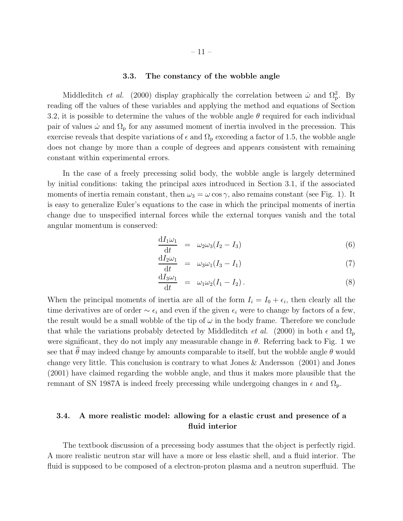### 3.3. The constancy of the wobble angle

Middleditch *et al.* (2000) display graphically the correlation between  $\dot{\omega}$  and  $\Omega_p^2$ . By reading off the values of these variables and applying the method and equations of Section 3.2, it is possible to determine the values of the wobble angle  $\theta$  required for each individual pair of values  $\dot{\omega}$  and  $\Omega_{\rm p}$  for any assumed moment of inertia involved in the precession. This exercise reveals that despite variations of  $\epsilon$  and  $\Omega_{\rm p}$  exceeding a factor of 1.5, the wobble angle does not change by more than a couple of degrees and appears consistent with remaining constant within experimental errors.

In the case of a freely precessing solid body, the wobble angle is largely determined by initial conditions: taking the principal axes introduced in Section 3.1, if the associated moments of inertia remain constant, then  $\omega_3 = \omega \cos \gamma$ , also remains constant (see Fig. 1). It is easy to generalize Euler's equations to the case in which the principal moments of inertia change due to unspecified internal forces while the external torques vanish and the total angular momentum is conserved:

$$
\frac{\mathrm{d}I_1\omega_1}{\mathrm{d}t} = \omega_2\omega_3(I_2 - I_3) \tag{6}
$$

$$
\frac{\mathrm{d}I_2\omega_1}{\mathrm{d}t} = \omega_3\omega_1(I_3 - I_1) \tag{7}
$$

$$
\frac{\mathrm{d}I_3\omega_1}{\mathrm{d}t} = \omega_1\omega_2(I_1 - I_2). \tag{8}
$$

When the principal moments of inertia are all of the form  $I_i = I_0 + \epsilon_i$ , then clearly all the time derivatives are of order  $\sim \epsilon_i$  and even if the given  $\epsilon_i$  were to change by factors of a few, the result would be a small wobble of the tip of  $\omega$  in the body frame. Therefore we conclude that while the variations probably detected by Middleditch *et al.* (2000) in both  $\epsilon$  and  $\Omega_{\rm p}$ were significant, they do not imply any measurable change in  $\theta$ . Referring back to Fig. 1 we see that  $\hat{\theta}$  may indeed change by amounts comparable to itself, but the wobble angle  $\theta$  would change very little. This conclusion is contrary to what Jones & Andersson (2001) and Jones (2001) have claimed regarding the wobble angle, and thus it makes more plausible that the remnant of SN 1987A is indeed freely precessing while undergoing changes in  $\epsilon$  and  $\Omega_{\rm p}$ .

# 3.4. A more realistic model: allowing for a elastic crust and presence of a fluid interior

The textbook discussion of a precessing body assumes that the object is perfectly rigid. A more realistic neutron star will have a more or less elastic shell, and a fluid interior. The fluid is supposed to be composed of a electron-proton plasma and a neutron superfluid. The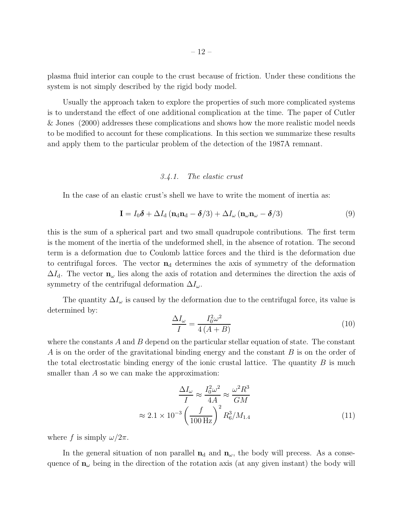plasma fluid interior can couple to the crust because of friction. Under these conditions the system is not simply described by the rigid body model.

Usually the approach taken to explore the properties of such more complicated systems is to understand the effect of one additional complication at the time. The paper of Cutler & Jones (2000) addresses these complications and shows how the more realistic model needs to be modified to account for these complications. In this section we summarize these results and apply them to the particular problem of the detection of the 1987A remnant.

# 3.4.1. The elastic crust

In the case of an elastic crust's shell we have to write the moment of inertia as:

$$
\mathbf{I} = I_0 \boldsymbol{\delta} + \Delta I_d \left( \mathbf{n}_d \mathbf{n}_d - \boldsymbol{\delta} / 3 \right) + \Delta I_\omega \left( \mathbf{n}_\omega \mathbf{n}_\omega - \boldsymbol{\delta} / 3 \right) \tag{9}
$$

this is the sum of a spherical part and two small quadrupole contributions. The first term is the moment of the inertia of the undeformed shell, in the absence of rotation. The second term is a deformation due to Coulomb lattice forces and the third is the deformation due to centrifugal forces. The vector  $n_d$  determines the axis of symmetry of the deformation  $\Delta I_d$ . The vector  $\mathbf{n}_{\omega}$  lies along the axis of rotation and determines the direction the axis of symmetry of the centrifugal deformation  $\Delta I_{\omega}$ .

The quantity  $\Delta I_{\omega}$  is caused by the deformation due to the centrifugal force, its value is determined by:

$$
\frac{\Delta I_{\omega}}{I} = \frac{I_0^2 \omega^2}{4\left(A + B\right)}\tag{10}
$$

where the constants  $A$  and  $B$  depend on the particular stellar equation of state. The constant A is on the order of the gravitational binding energy and the constant B is on the order of the total electrostatic binding energy of the ionic crustal lattice. The quantity  $B$  is much smaller than A so we can make the approximation:

$$
\frac{\Delta I_{\omega}}{I} \approx \frac{I_0^2 \omega^2}{4A} \approx \frac{\omega^2 R^3}{GM}
$$

$$
\approx 2.1 \times 10^{-3} \left(\frac{f}{100 \text{ Hz}}\right)^2 R_6^3 / M_{1.4}
$$
(11)

where f is simply  $\omega/2\pi$ .

In the general situation of non parallel  $n_d$  and  $n_\omega$ , the body will precess. As a consequence of  $\mathbf{n}_{\omega}$  being in the direction of the rotation axis (at any given instant) the body will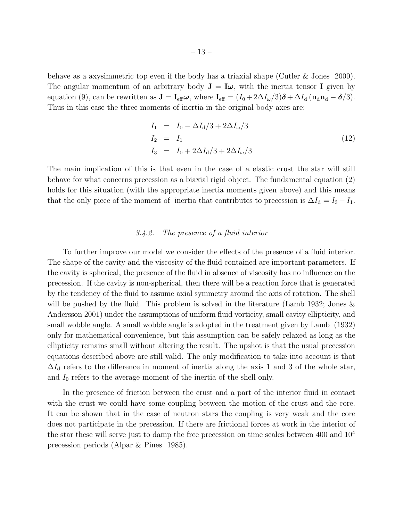behave as a axysimmetric top even if the body has a triaxial shape (Cutler & Jones 2000). The angular momentum of an arbitrary body  $J = I\omega$ , with the inertia tensor I given by equation (9), can be rewritten as  $\mathbf{J} = \mathbf{I}_{\text{eff}} \boldsymbol{\omega}$ , where  $\mathbf{I}_{\text{eff}} = (I_0 + 2\Delta I_{\omega}/3)\boldsymbol{\delta} + \Delta I_d (\mathbf{n}_d \mathbf{n}_d - \boldsymbol{\delta}/3)$ . Thus in this case the three moments of inertia in the original body axes are:

$$
I_1 = I_0 - \Delta I_d / 3 + 2\Delta I_\omega / 3
$$
  
\n
$$
I_2 = I_1
$$
  
\n
$$
I_3 = I_0 + 2\Delta I_d / 3 + 2\Delta I_\omega / 3
$$
\n(12)

The main implication of this is that even in the case of a elastic crust the star will still behave for what concerns precession as a biaxial rigid object. The fundamental equation (2) holds for this situation (with the appropriate inertia moments given above) and this means that the only piece of the moment of inertia that contributes to precession is  $\Delta I_d = I_3 - I_1$ .

### 3.4.2. The presence of a fluid interior

To further improve our model we consider the effects of the presence of a fluid interior. The shape of the cavity and the viscosity of the fluid contained are important parameters. If the cavity is spherical, the presence of the fluid in absence of viscosity has no influence on the precession. If the cavity is non-spherical, then there will be a reaction force that is generated by the tendency of the fluid to assume axial symmetry around the axis of rotation. The shell will be pushed by the fluid. This problem is solved in the literature (Lamb 1932; Jones  $\&$ Andersson 2001) under the assumptions of uniform fluid vorticity, small cavity ellipticity, and small wobble angle. A small wobble angle is adopted in the treatment given by Lamb (1932) only for mathematical convenience, but this assumption can be safely relaxed as long as the ellipticity remains small without altering the result. The upshot is that the usual precession equations described above are still valid. The only modification to take into account is that  $\Delta I_d$  refers to the difference in moment of inertia along the axis 1 and 3 of the whole star, and  $I_0$  refers to the average moment of the inertia of the shell only.

In the presence of friction between the crust and a part of the interior fluid in contact with the crust we could have some coupling between the motion of the crust and the core. It can be shown that in the case of neutron stars the coupling is very weak and the core does not participate in the precession. If there are frictional forces at work in the interior of the star these will serve just to damp the free precession on time scales between  $400$  and  $10<sup>4</sup>$ precession periods (Alpar & Pines 1985).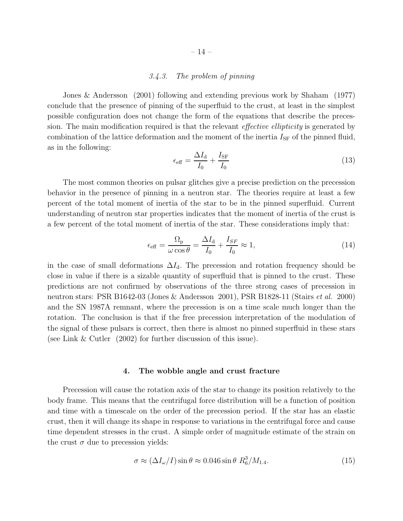### 3.4.3. The problem of pinning

Jones & Andersson (2001) following and extending previous work by Shaham (1977) conclude that the presence of pinning of the superfluid to the crust, at least in the simplest possible configuration does not change the form of the equations that describe the precession. The main modification required is that the relevant *effective ellipticity* is generated by combination of the lattice deformation and the moment of the inertia  $I_{SF}$  of the pinned fluid, as in the following:

$$
\epsilon_{\text{eff}} = \frac{\Delta I_{\text{d}}}{I_0} + \frac{I_{\text{SF}}}{I_0} \tag{13}
$$

The most common theories on pulsar glitches give a precise prediction on the precession behavior in the presence of pinning in a neutron star. The theories require at least a few percent of the total moment of inertia of the star to be in the pinned superfluid. Current understanding of neutron star properties indicates that the moment of inertia of the crust is a few percent of the total moment of inertia of the star. These considerations imply that:

$$
\epsilon_{\text{eff}} = \frac{\Omega_{\text{p}}}{\omega \cos \theta} = \frac{\Delta I_{\text{d}}}{I_{0}} + \frac{I_{SF}}{I_{0}} \approx 1,\tag{14}
$$

in the case of small deformations  $\Delta I_d$ . The precession and rotation frequency should be close in value if there is a sizable quantity of superfluid that is pinned to the crust. These predictions are not confirmed by observations of the three strong cases of precession in neutron stars: PSR B1642-03 (Jones & Andersson 2001), PSR B1828-11 (Stairs et al. 2000) and the SN 1987A remnant, where the precession is on a time scale much longer than the rotation. The conclusion is that if the free precession interpretation of the modulation of the signal of these pulsars is correct, then there is almost no pinned superfluid in these stars (see Link & Cutler (2002) for further discussion of this issue).

#### 4. The wobble angle and crust fracture

Precession will cause the rotation axis of the star to change its position relatively to the body frame. This means that the centrifugal force distribution will be a function of position and time with a timescale on the order of the precession period. If the star has an elastic crust, then it will change its shape in response to variations in the centrifugal force and cause time dependent stresses in the crust. A simple order of magnitude estimate of the strain on the crust  $\sigma$  due to precession yields:

$$
\sigma \approx (\Delta I_{\omega}/I)\sin\theta \approx 0.046\sin\theta \ R_6^3/M_{1.4}.\tag{15}
$$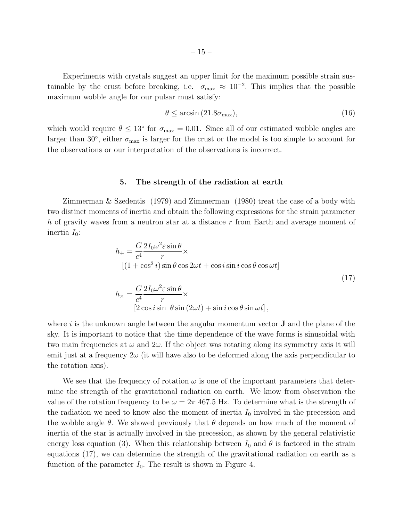Experiments with crystals suggest an upper limit for the maximum possible strain sustainable by the crust before breaking, i.e.  $\sigma_{\text{max}} \approx 10^{-2}$ . This implies that the possible maximum wobble angle for our pulsar must satisfy:

$$
\theta \le \arcsin\left(21.8\sigma_{\text{max}}\right),\tag{16}
$$

which would require  $\theta \leq 13^{\circ}$  for  $\sigma_{\text{max}} = 0.01$ . Since all of our estimated wobble angles are larger than 30 $^{\circ}$ , either  $\sigma_{\text{max}}$  is larger for the crust or the model is too simple to account for the observations or our interpretation of the observations is incorrect.

#### 5. The strength of the radiation at earth

Zimmerman & Szedentis (1979) and Zimmerman (1980) treat the case of a body with two distinct moments of inertia and obtain the following expressions for the strain parameter h of gravity waves from a neutron star at a distance r from Earth and average moment of inertia  $I_0$ :

$$
h_{+} = \frac{G}{c^{4}} \frac{2I_{0}\omega^{2} \varepsilon \sin \theta}{r} \times
$$
  
\n
$$
[(1 + \cos^{2} i) \sin \theta \cos 2\omega t + \cos i \sin i \cos \theta \cos \omega t]
$$
  
\n
$$
h_{\times} = \frac{G}{c^{4}} \frac{2I_{0}\omega^{2} \varepsilon \sin \theta}{r} \times
$$
  
\n
$$
[2 \cos i \sin \theta \sin (2\omega t) + \sin i \cos \theta \sin \omega t],
$$
  
\n(17)

where  $i$  is the unknown angle between the angular momentum vector  $J$  and the plane of the sky. It is important to notice that the time dependence of the wave forms is sinusoidal with two main frequencies at  $\omega$  and  $2\omega$ . If the object was rotating along its symmetry axis it will emit just at a frequency  $2\omega$  (it will have also to be deformed along the axis perpendicular to the rotation axis).

We see that the frequency of rotation  $\omega$  is one of the important parameters that determine the strength of the gravitational radiation on earth. We know from observation the value of the rotation frequency to be  $\omega = 2\pi 467.5$  Hz. To determine what is the strength of the radiation we need to know also the moment of inertia  $I_0$  involved in the precession and the wobble angle  $\theta$ . We showed previously that  $\theta$  depends on how much of the moment of inertia of the star is actually involved in the precession, as shown by the general relativistic energy loss equation (3). When this relationship between  $I_0$  and  $\theta$  is factored in the strain equations (17), we can determine the strength of the gravitational radiation on earth as a function of the parameter  $I_0$ . The result is shown in Figure 4.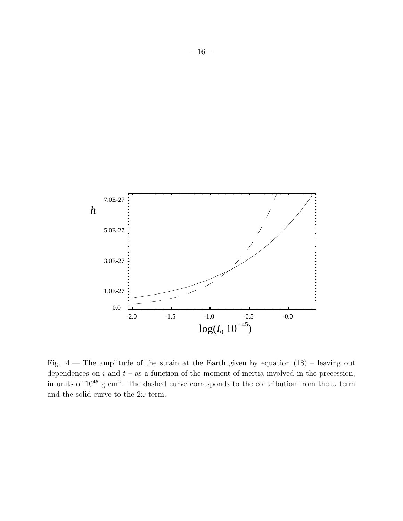

Fig. 4.— The amplitude of the strain at the Earth given by equation (18) – leaving out dependences on  $i$  and  $t$  – as a function of the moment of inertia involved in the precession, in units of  $10^{45}$  g cm<sup>2</sup>. The dashed curve corresponds to the contribution from the  $\omega$  term and the solid curve to the  $2\omega$  term.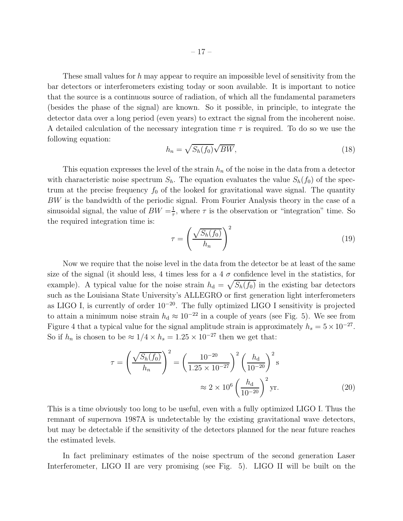These small values for  $h$  may appear to require an impossible level of sensitivity from the bar detectors or interferometers existing today or soon available. It is important to notice that the source is a continuous source of radiation, of which all the fundamental parameters (besides the phase of the signal) are known. So it possible, in principle, to integrate the detector data over a long period (even years) to extract the signal from the incoherent noise. A detailed calculation of the necessary integration time  $\tau$  is required. To do so we use the following equation:

$$
h_n = \sqrt{S_h(f_0)}\sqrt{BW},\tag{18}
$$

This equation expresses the level of the strain  $h_n$  of the noise in the data from a detector with characteristic noise spectrum  $S_h$ . The equation evaluates the value  $S_h(f_0)$  of the spectrum at the precise frequency  $f_0$  of the looked for gravitational wave signal. The quantity BW is the bandwidth of the periodic signal. From Fourier Analysis theory in the case of a sinusoidal signal, the value of  $BW = \frac{1}{\tau}$  $\frac{1}{\tau}$ , where  $\tau$  is the observation or "integration" time. So the required integration time is:

$$
\tau = \left(\frac{\sqrt{S_h(f_0)}}{h_n}\right)^2\tag{19}
$$

Now we require that the noise level in the data from the detector be at least of the same size of the signal (it should less, 4 times less for a 4  $\sigma$  confidence level in the statistics, for example). A typical value for the noise strain  $h_d = \sqrt{S_h(f_0)}$  in the existing bar detectors such as the Louisiana State University's ALLEGRO or first generation light interferometers as LIGO I, is currently of order 10<sup>−</sup><sup>20</sup>. The fully optimized LIGO I sensitivity is projected to attain a minimum noise strain  $h_d \approx 10^{-22}$  in a couple of years (see Fig. 5). We see from Figure 4 that a typical value for the signal amplitude strain is approximately  $h_s = 5 \times 10^{-27}$ . So if  $h_n$  is chosen to be  $\approx 1/4 \times h_s = 1.25 \times 10^{-27}$  then we get that:

$$
\tau = \left(\frac{\sqrt{S_h(f_0)}}{h_n}\right)^2 = \left(\frac{10^{-20}}{1.25 \times 10^{-27}}\right)^2 \left(\frac{h_d}{10^{-20}}\right)^2 \text{s}
$$

$$
\approx 2 \times 10^6 \left(\frac{h_d}{10^{-20}}\right)^2 \text{yr.}
$$
(20)

This is a time obviously too long to be useful, even with a fully optimized LIGO I. Thus the remnant of supernova 1987A is undetectable by the existing gravitational wave detectors, but may be detectable if the sensitivity of the detectors planned for the near future reaches the estimated levels.

In fact preliminary estimates of the noise spectrum of the second generation Laser Interferometer, LIGO II are very promising (see Fig. 5). LIGO II will be built on the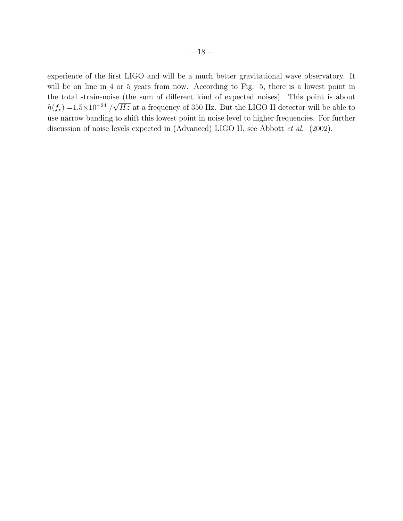experience of the first LIGO and will be a much better gravitational wave observatory. It will be on line in 4 or 5 years from now. According to Fig. 5, there is a lowest point in the total strain-noise (the sum of different kind of expected noises). This point is about  $h(f_r) = 1.5 \times 10^{-24} / \sqrt{Hz}$  at a frequency of 350 Hz. But the LIGO II detector will be able to use narrow banding to shift this lowest point in noise level to higher frequencies. For further discussion of noise levels expected in (Advanced) LIGO II, see Abbott et al. (2002).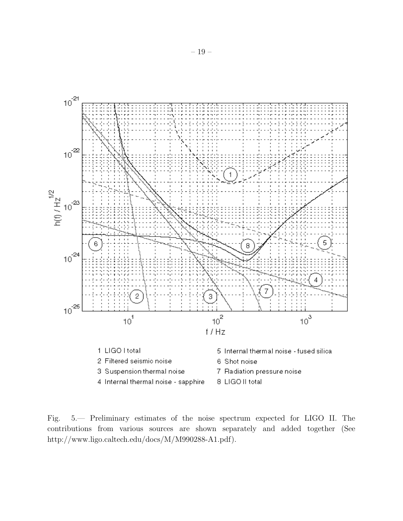

Fig. 5.— Preliminary estimates of the noise spectrum expected for LIGO II. The contributions from various sources are shown separately and added together (See http://www.ligo.caltech.edu/docs/M/M990288-A1.pdf).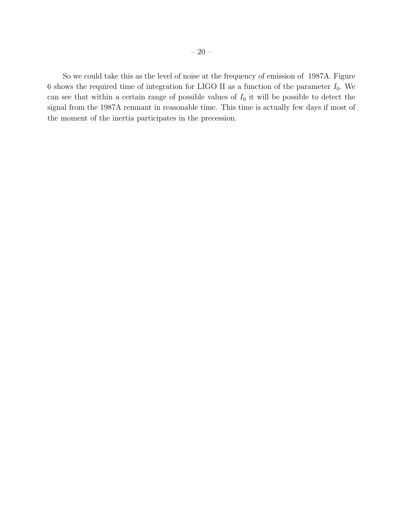So we could take this as the level of noise at the frequency of emission of 1987A. Figure 6 shows the required time of integration for LIGO II as a function of the parameter  $I_0$ . We can see that within a certain range of possible values of  $I_0$  it will be possible to detect the signal from the 1987A remnant in reasonable time. This time is actually few days if most of the moment of the inertia participates in the precession.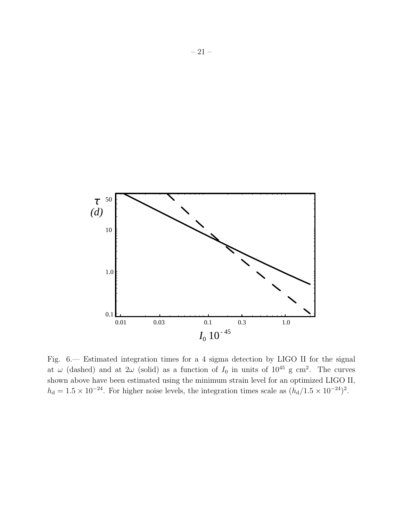

Fig. 6.— Estimated integration times for a 4 sigma detection by LIGO II for the signal at  $\omega$  (dashed) and at  $2\omega$  (solid) as a function of  $I_0$  in units of  $10^{45}$  g cm<sup>2</sup>. The curves shown above have been estimated using the minimum strain level for an optimized LIGO II,  $h_{\rm d} = 1.5 \times 10^{-24}$ . For higher noise levels, the integration times scale as  $(h_{\rm d}/1.5 \times 10^{-24})^2$ .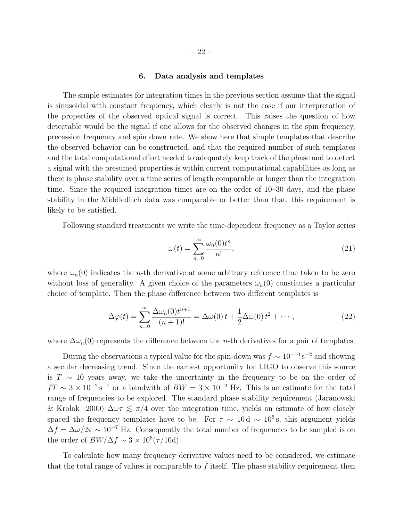### 6. Data analysis and templates

The simple estimates for integration times in the previous section assume that the signal is sinusoidal with constant frequency, which clearly is not the case if our interpretation of the properties of the observed optical signal is correct. This raises the question of how detectable would be the signal if one allows for the observed changes in the spin frequency, precession frequency and spin down rate. We show here that simple templates that describe the observed behavior can be constructed, and that the required number of such templates and the total computational effort needed to adequately keep track of the phase and to detect a signal with the presumed properties is within current computational capabilities as long as there is phase stability over a time series of length comparable or longer than the integration time. Since the required integration times are on the order of 10–30 days, and the phase stability in the Middleditch data was comparable or better than that, this requirement is likely to be satisfied.

Following standard treatments we write the time-dependent frequency as a Taylor series

$$
\omega(t) = \sum_{n=0}^{\infty} \frac{\omega_n(0)t^n}{n!},\tag{21}
$$

where  $\omega_n(0)$  indicates the *n*-th derivative at some arbitrary reference time taken to be zero without loss of generality. A given choice of the parameters  $\omega_n(0)$  constitutes a particular choice of template. Then the phase difference between two different templates is

$$
\Delta \varphi(t) = \sum_{n=0}^{\infty} \frac{\Delta \omega_n(0) t^{n+1}}{(n+1)!} = \Delta \omega(0) t + \frac{1}{2} \Delta \dot{\omega}(0) t^2 + \cdots, \qquad (22)
$$

where  $\Delta\omega_n(0)$  represents the difference between the *n*-th derivatives for a pair of templates.

During the observations a typical value for the spin-down was  $\dot{f} \sim 10^{-10} \text{ s}^{-2}$  and showing a secular decreasing trend. Since the earliest opportunity for LIGO to observe this source is  $T \sim 10$  years away, we take the uncertainty in the frequency to be on the order of  $\dot{f}T \sim 3 \times 10^{-2} \,\mathrm{s}^{-1}$  or a bandwith of  $BW = 3 \times 10^{-2} \,\mathrm{Hz}$ . This is an estimate for the total range of frequencies to be explored. The standard phase stability requirement (Jaranowski & Krolak 2000)  $\Delta \omega \tau \lesssim \pi/4$  over the integration time, yields an estimate of how closely spaced the frequency templates have to be. For  $\tau \sim 10 \,\mathrm{d} \sim 10^6 \,\mathrm{s}$ , this argument yields  $\Delta f = \Delta \omega / 2\pi \sim 10^{-7}$  Hz. Consequently the total number of frequencies to be sampled is on the order of  $BW/\Delta f \sim 3 \times 10^5 (\tau/10d)$ .

To calculate how many frequency derivative values need to be considered, we estimate that the total range of values is comparable to  $f$  itself. The phase stability requirement then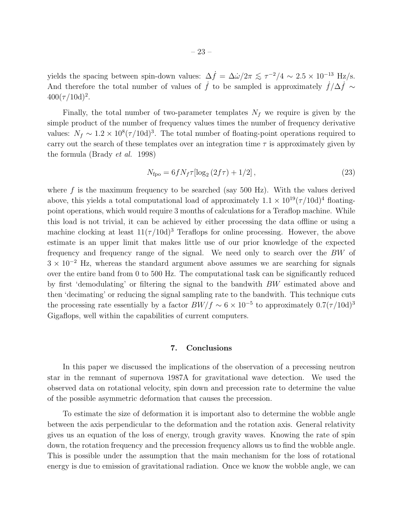yields the spacing between spin-down values:  $\Delta \dot{f} = \Delta \dot{\omega}/2\pi \lesssim \tau^{-2}/4 \sim 2.5 \times 10^{-13}$  Hz/s. And therefore the total number of values of  $\dot{f}$  to be sampled is approximately  $\dot{f}/\Delta \dot{f} \sim$  $400(\tau/10d)^2$ .

Finally, the total number of two-parameter templates  $N_f$  we require is given by the simple product of the number of frequency values times the number of frequency derivative values:  $N_f \sim 1.2 \times 10^8 (\tau/10d)^3$ . The total number of floating-point operations required to carry out the search of these templates over an integration time  $\tau$  is approximately given by the formula (Brady et al. 1998)

$$
N_{\rm fpo} = 6f N_f \tau [\log_2 (2f\tau) + 1/2], \qquad (23)
$$

where  $f$  is the maximum frequency to be searched (say 500 Hz). With the values derived above, this yields a total computational load of approximately  $1.1 \times 10^{19} (\tau/10d)^4$  floatingpoint operations, which would require 3 months of calculations for a Teraflop machine. While this load is not trivial, it can be achieved by either processing the data offline or using a machine clocking at least  $11(\tau/10d)^3$  Teraflops for online processing. However, the above estimate is an upper limit that makes little use of our prior knowledge of the expected frequency and frequency range of the signal. We need only to search over the BW of  $3 \times 10^{-2}$  Hz, whereas the standard argument above assumes we are searching for signals over the entire band from 0 to 500 Hz. The computational task can be significantly reduced by first 'demodulating' or filtering the signal to the bandwith BW estimated above and then 'decimating' or reducing the signal sampling rate to the bandwith. This technique cuts the processing rate essentially by a factor  $BW/f \sim 6 \times 10^{-5}$  to approximately  $0.7(\tau/10d)^3$ Gigaflops, well within the capabilities of current computers.

# 7. Conclusions

In this paper we discussed the implications of the observation of a precessing neutron star in the remnant of supernova 1987A for gravitational wave detection. We used the observed data on rotational velocity, spin down and precession rate to determine the value of the possible asymmetric deformation that causes the precession.

To estimate the size of deformation it is important also to determine the wobble angle between the axis perpendicular to the deformation and the rotation axis. General relativity gives us an equation of the loss of energy, trough gravity waves. Knowing the rate of spin down, the rotation frequency and the precession frequency allows us to find the wobble angle. This is possible under the assumption that the main mechanism for the loss of rotational energy is due to emission of gravitational radiation. Once we know the wobble angle, we can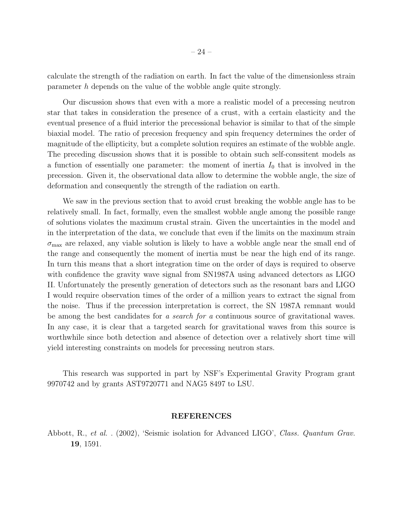calculate the strength of the radiation on earth. In fact the value of the dimensionless strain parameter h depends on the value of the wobble angle quite strongly.

Our discussion shows that even with a more a realistic model of a precessing neutron star that takes in consideration the presence of a crust, with a certain elasticity and the eventual presence of a fluid interior the precessional behavior is similar to that of the simple biaxial model. The ratio of precesion frequency and spin frequency determines the order of magnitude of the ellipticity, but a complete solution requires an estimate of the wobble angle. The preceding discussion shows that it is possible to obtain such self-conssitent models as a function of essentially one parameter: the moment of inertia  $I_0$  that is involved in the precession. Given it, the observational data allow to determine the wobble angle, the size of deformation and consequently the strength of the radiation on earth.

We saw in the previous section that to avoid crust breaking the wobble angle has to be relatively small. In fact, formally, even the smallest wobble angle among the possible range of solutions violates the maximum crustal strain. Given the uncertainties in the model and in the interpretation of the data, we conclude that even if the limits on the maximum strain  $\sigma_{\text{max}}$  are relaxed, any viable solution is likely to have a wobble angle near the small end of the range and consequently the moment of inertia must be near the high end of its range. In turn this means that a short integration time on the order of days is required to observe with confidence the gravity wave signal from SN1987A using advanced detectors as LIGO II. Unfortunately the presently generation of detectors such as the resonant bars and LIGO I would require observation times of the order of a million years to extract the signal from the noise. Thus if the precession interpretation is correct, the SN 1987A remnant would be among the best candidates for a search for a continuous source of gravitational waves. In any case, it is clear that a targeted search for gravitational waves from this source is worthwhile since both detection and absence of detection over a relatively short time will yield interesting constraints on models for precessing neutron stars.

This research was supported in part by NSF's Experimental Gravity Program grant 9970742 and by grants AST9720771 and NAG5 8497 to LSU.

### REFERENCES

Abbott, R., et al. . (2002), 'Seismic isolation for Advanced LIGO', Class. Quantum Grav. 19, 1591.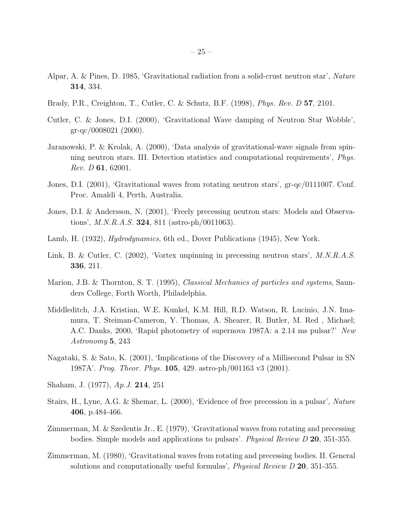- Alpar, A. & Pines, D. 1985, 'Gravitational radiation from a solid-crust neutron star', Nature 314, 334.
- Brady, P.R., Creighton, T., Cutler, C. & Schutz, B.F. (1998), Phys. Rev. D 57, 2101.
- Cutler, C. & Jones, D.I. (2000), 'Gravitational Wave damping of Neutron Star Wobble', gr-qc/0008021 (2000).
- Jaranowski, P. & Krolak, A. (2000), 'Data analysis of gravitational-wave signals from spinning neutron stars. III. Detection statistics and computational requirements', Phys. *Rev. D* 61, 62001.
- Jones, D.I. (2001), 'Gravitational waves from rotating neutron stars', gr-qc/0111007. Conf. Proc. Amaldi 4, Perth, Australia.
- Jones, D.I. & Andersson, N. (2001), 'Freely precessing neutron stars: Models and Observations', M.N.R.A.S. 324, 811 (astro-ph/0011063).
- Lamb, H. (1932), Hydrodynamics, 6th ed., Dover Publications (1945), New York.
- Link, B. & Cutler, C. (2002), 'Vortex unpinning in precessing neutron stars', M.N.R.A.S. 336, 211.
- Marion, J.B. & Thornton, S. T. (1995), Classical Mechanics of particles and systems, Saunders College, Forth Worth, Philadelphia.
- Middleditch, J.A. Kristian, W.E. Kunkel, K.M. Hill, R.D. Watson, R. Lucinio, J.N. Imamura, T. Steiman-Cameron, Y. Thomas, A. Shearer, R. Butler, M. Red , Michael; A.C. Danks, 2000, 'Rapid photometry of supernova 1987A: a 2.14 ms pulsar?' New Astronomy 5, 243
- Nagataki, S. & Sato, K. (2001), 'Implications of the Discovery of a Millisecond Pulsar in SN 1987A'. Prog. Theor. Phys. 105, 429. astro-ph/001163 v3 (2001).
- Shaham, J. (1977), Ap.J. 214, 251
- Stairs, H., Lyne, A.G. & Shemar, L. (2000), 'Evidence of free precession in a pulsar', Nature 406, p.484-466.
- Zimmerman, M. & Szedentis Jr., E. (1979), 'Gravitational waves from rotating and precessing bodies. Simple models and applications to pulsars'. Physical Review D 20, 351-355.
- Zimmerman, M. (1980), 'Gravitational waves from rotating and precessing bodies. II. General solutions and computationally useful formulas', *Physical Review D* 20, 351-355.